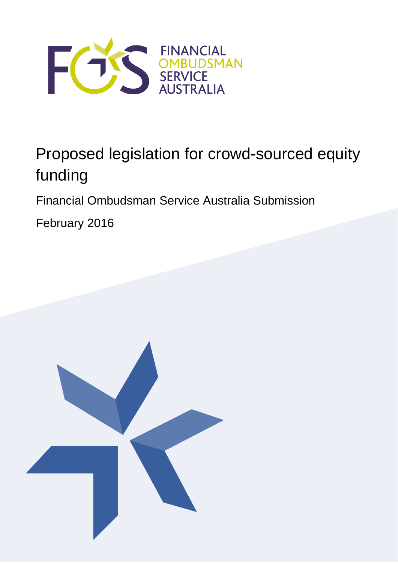

# Proposed legislation for crowd-sourced equity funding

Financial Ombudsman Service Australia Submission

February 2016

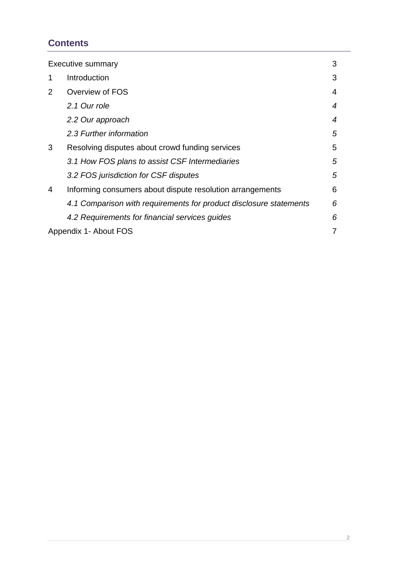# **Contents**

| <b>Executive summary</b> |                                                                    | 3 |
|--------------------------|--------------------------------------------------------------------|---|
| 1                        | Introduction                                                       | 3 |
| $\overline{2}$           | Overview of FOS                                                    | 4 |
|                          | 2.1 Our role                                                       | 4 |
|                          | 2.2 Our approach                                                   | 4 |
|                          | 2.3 Further information                                            | 5 |
| 3                        | Resolving disputes about crowd funding services                    | 5 |
|                          | 3.1 How FOS plans to assist CSF Intermediaries                     | 5 |
|                          | 3.2 FOS jurisdiction for CSF disputes                              | 5 |
| 4                        | Informing consumers about dispute resolution arrangements          | 6 |
|                          | 4.1 Comparison with requirements for product disclosure statements | 6 |
|                          | 4.2 Requirements for financial services guides                     | 6 |
| Appendix 1- About FOS    |                                                                    |   |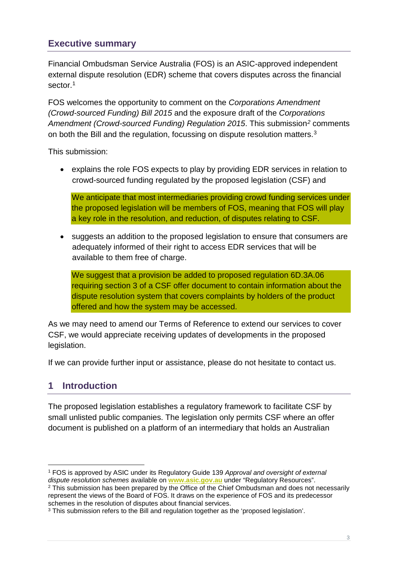## <span id="page-2-0"></span>**Executive summary**

Financial Ombudsman Service Australia (FOS) is an ASIC-approved independent external dispute resolution (EDR) scheme that covers disputes across the financial sector.<sup>1</sup>

FOS welcomes the opportunity to comment on the *Corporations Amendment (Crowd-sourced Funding) Bill 2015* and the exposure draft of the *Corporations Amendment (Crowd-sourced Funding) Regulation 2015*. This submission*[2](#page-2-3)* comments on both the Bill and the regulation, focussing on dispute resolution matters[.3](#page-2-4) 

This submission:

• explains the role FOS expects to play by providing EDR services in relation to crowd-sourced funding regulated by the proposed legislation (CSF) and

We anticipate that most intermediaries providing crowd funding services under the proposed legislation will be members of FOS, meaning that FOS will play a key role in the resolution, and reduction, of disputes relating to CSF.

• suggests an addition to the proposed legislation to ensure that consumers are adequately informed of their right to access EDR services that will be available to them free of charge.

We suggest that a provision be added to proposed regulation 6D.3A.06 requiring section 3 of a CSF offer document to contain information about the dispute resolution system that covers complaints by holders of the product offered and how the system may be accessed.

As we may need to amend our Terms of Reference to extend our services to cover CSF, we would appreciate receiving updates of developments in the proposed legislation.

If we can provide further input or assistance, please do not hesitate to contact us.

# <span id="page-2-1"></span>**1 Introduction**

The proposed legislation establishes a regulatory framework to facilitate CSF by small unlisted public companies. The legislation only permits CSF where an offer document is published on a platform of an intermediary that holds an Australian

<span id="page-2-3"></span><sup>2</sup> This submission has been prepared by the Office of the Chief Ombudsman and does not necessarily represent the views of the Board of FOS. It draws on the experience of FOS and its predecessor schemes in the resolution of disputes about financial services.

<span id="page-2-2"></span><sup>1</sup> FOS is approved by ASIC under its Regulatory Guide 139 *Approval and oversight of external dispute resolution schemes* available on **[www.asic.gov.au](http://www.asic.gov.au/)** under "Regulatory Resources". -

<span id="page-2-4"></span><sup>&</sup>lt;sup>3</sup> This submission refers to the Bill and regulation together as the 'proposed legislation'.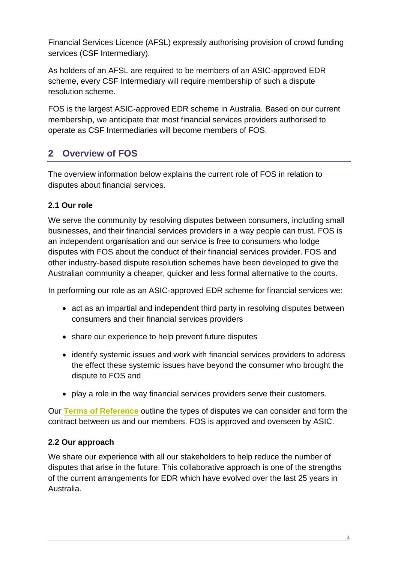Financial Services Licence (AFSL) expressly authorising provision of crowd funding services (CSF Intermediary).

As holders of an AFSL are required to be members of an ASIC-approved EDR scheme, every CSF Intermediary will require membership of such a dispute resolution scheme.

FOS is the largest ASIC-approved EDR scheme in Australia. Based on our current membership, we anticipate that most financial services providers authorised to operate as CSF Intermediaries will become members of FOS.

# <span id="page-3-0"></span>**2 Overview of FOS**

The overview information below explains the current role of FOS in relation to disputes about financial services.

## <span id="page-3-1"></span>**2.1 Our role**

We serve the community by resolving disputes between consumers, including small businesses, and their financial services providers in a way people can trust. FOS is an independent organisation and our service is free to consumers who lodge disputes with FOS about the conduct of their financial services provider. FOS and other industry-based dispute resolution schemes have been developed to give the Australian community a cheaper, quicker and less formal alternative to the courts.

In performing our role as an ASIC-approved EDR scheme for financial services we:

- act as an impartial and independent third party in resolving disputes between consumers and their financial services providers
- share our experience to help prevent future disputes
- identify systemic issues and work with financial services providers to address the effect these systemic issues have beyond the consumer who brought the dispute to FOS and
- play a role in the way financial services providers serve their customers.

Our **[Terms of Reference](http://www.fos.org.au/custom/files/docs/fos-terms-of-reference-1-january-2010-as-amended-1-january-2015.pdf)** outline the types of disputes we can consider and form the contract between us and our members. FOS is approved and overseen by ASIC.

#### <span id="page-3-2"></span>**2.2 Our approach**

We share our experience with all our stakeholders to help reduce the number of disputes that arise in the future. This collaborative approach is one of the strengths of the current arrangements for EDR which have evolved over the last 25 years in Australia.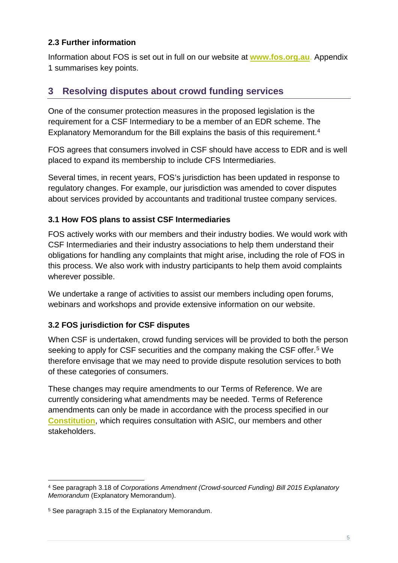#### <span id="page-4-0"></span>**2.3 Further information**

Information about FOS is set out in full on our website at **[www.fos.org.au](http://www.fos.org.au/)**. Appendix 1 summarises key points.

## <span id="page-4-1"></span>**3 Resolving disputes about crowd funding services**

One of the consumer protection measures in the proposed legislation is the requirement for a CSF Intermediary to be a member of an EDR scheme. The Explanatory Memorandum for the Bill explains the basis of this requirement. [4](#page-4-4)

FOS agrees that consumers involved in CSF should have access to EDR and is well placed to expand its membership to include CFS Intermediaries.

Several times, in recent years, FOS's jurisdiction has been updated in response to regulatory changes. For example, our jurisdiction was amended to cover disputes about services provided by accountants and traditional trustee company services.

#### <span id="page-4-2"></span>**3.1 How FOS plans to assist CSF Intermediaries**

FOS actively works with our members and their industry bodies. We would work with CSF Intermediaries and their industry associations to help them understand their obligations for handling any complaints that might arise, including the role of FOS in this process. We also work with industry participants to help them avoid complaints wherever possible.

We undertake a range of activities to assist our members including open forums, webinars and workshops and provide extensive information on our website.

#### <span id="page-4-3"></span>**3.2 FOS jurisdiction for CSF disputes**

When CSF is undertaken, crowd funding services will be provided to both the person seeking to apply for CSF securities and the company making the CSF offer.<sup>[5](#page-4-5)</sup> We therefore envisage that we may need to provide dispute resolution services to both of these categories of consumers.

These changes may require amendments to our Terms of Reference. We are currently considering what amendments may be needed. Terms of Reference amendments can only be made in accordance with the process specified in our **[Constitution](http://www.fos.org.au/custom/files/docs/fos_constitution.pdf)**, which requires consultation with ASIC, our members and other stakeholders.

<span id="page-4-4"></span><sup>4</sup> See paragraph 3.18 of *Corporations Amendment (Crowd-sourced Funding) Bill 2015 Explanatory Memorandum* (Explanatory Memorandum). -

<span id="page-4-5"></span><sup>5</sup> See paragraph 3.15 of the Explanatory Memorandum.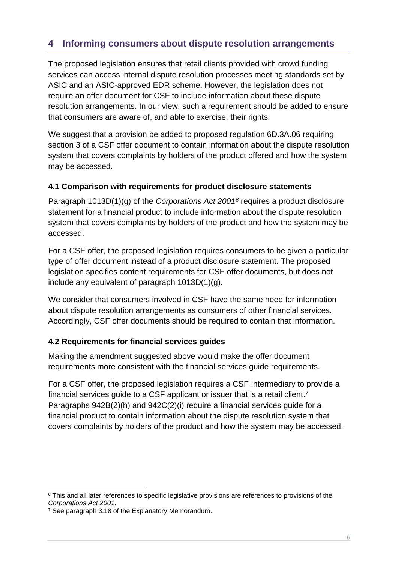# <span id="page-5-0"></span>**4 Informing consumers about dispute resolution arrangements**

The proposed legislation ensures that retail clients provided with crowd funding services can access internal dispute resolution processes meeting standards set by ASIC and an ASIC-approved EDR scheme. However, the legislation does not require an offer document for CSF to include information about these dispute resolution arrangements. In our view, such a requirement should be added to ensure that consumers are aware of, and able to exercise, their rights.

We suggest that a provision be added to proposed regulation 6D.3A.06 requiring section 3 of a CSF offer document to contain information about the dispute resolution system that covers complaints by holders of the product offered and how the system may be accessed.

#### <span id="page-5-1"></span>**4.1 Comparison with requirements for product disclosure statements**

Paragraph 1013D(1)(g) of the *Corporations Act 2001[6](#page-5-3)* requires a product disclosure statement for a financial product to include information about the dispute resolution system that covers complaints by holders of the product and how the system may be accessed.

For a CSF offer, the proposed legislation requires consumers to be given a particular type of offer document instead of a product disclosure statement. The proposed legislation specifies content requirements for CSF offer documents, but does not include any equivalent of paragraph 1013D(1)(g).

We consider that consumers involved in CSF have the same need for information about dispute resolution arrangements as consumers of other financial services. Accordingly, CSF offer documents should be required to contain that information.

#### <span id="page-5-2"></span>**4.2 Requirements for financial services guides**

Making the amendment suggested above would make the offer document requirements more consistent with the financial services guide requirements.

For a CSF offer, the proposed legislation requires a CSF Intermediary to provide a financial services guide to a CSF applicant or issuer that is a retail client.<sup>[7](#page-5-4)</sup> Paragraphs 942B(2)(h) and 942C(2)(i) require a financial services guide for a financial product to contain information about the dispute resolution system that covers complaints by holders of the product and how the system may be accessed.

<span id="page-5-3"></span> $6$  This and all later references to specific legislative provisions are references to provisions of the Corporations Act 2001. -

<span id="page-5-4"></span><sup>&</sup>lt;sup>7</sup> See paragraph 3.18 of the Explanatory Memorandum.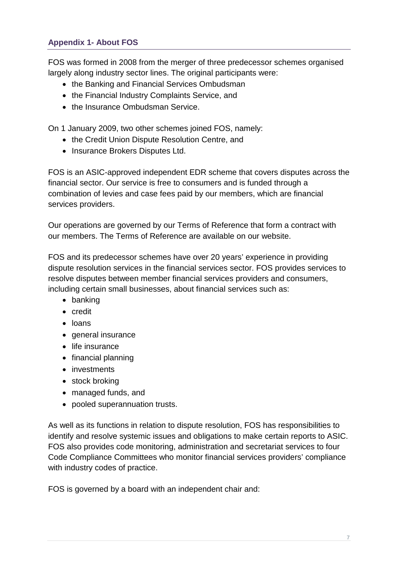<span id="page-6-0"></span>FOS was formed in 2008 from the merger of three predecessor schemes organised largely along industry sector lines. The original participants were:

- the Banking and Financial Services Ombudsman
- the Financial Industry Complaints Service, and
- the Insurance Ombudsman Service.

On 1 January 2009, two other schemes joined FOS, namely:

- the Credit Union Dispute Resolution Centre, and
- Insurance Brokers Disputes Ltd.

FOS is an ASIC-approved independent EDR scheme that covers disputes across the financial sector. Our service is free to consumers and is funded through a combination of levies and case fees paid by our members, which are financial services providers.

Our operations are governed by our Terms of Reference that form a contract with our members. The Terms of Reference are available on our website.

FOS and its predecessor schemes have over 20 years' experience in providing dispute resolution services in the financial services sector. FOS provides services to resolve disputes between member financial services providers and consumers, including certain small businesses, about financial services such as:

- banking
- credit
- loans
- general insurance
- life insurance
- financial planning
- investments
- stock broking
- managed funds, and
- pooled superannuation trusts.

As well as its functions in relation to dispute resolution, FOS has responsibilities to identify and resolve systemic issues and obligations to make certain reports to ASIC. FOS also provides code monitoring, administration and secretariat services to four Code Compliance Committees who monitor financial services providers' compliance with industry codes of practice.

FOS is governed by a board with an independent chair and: